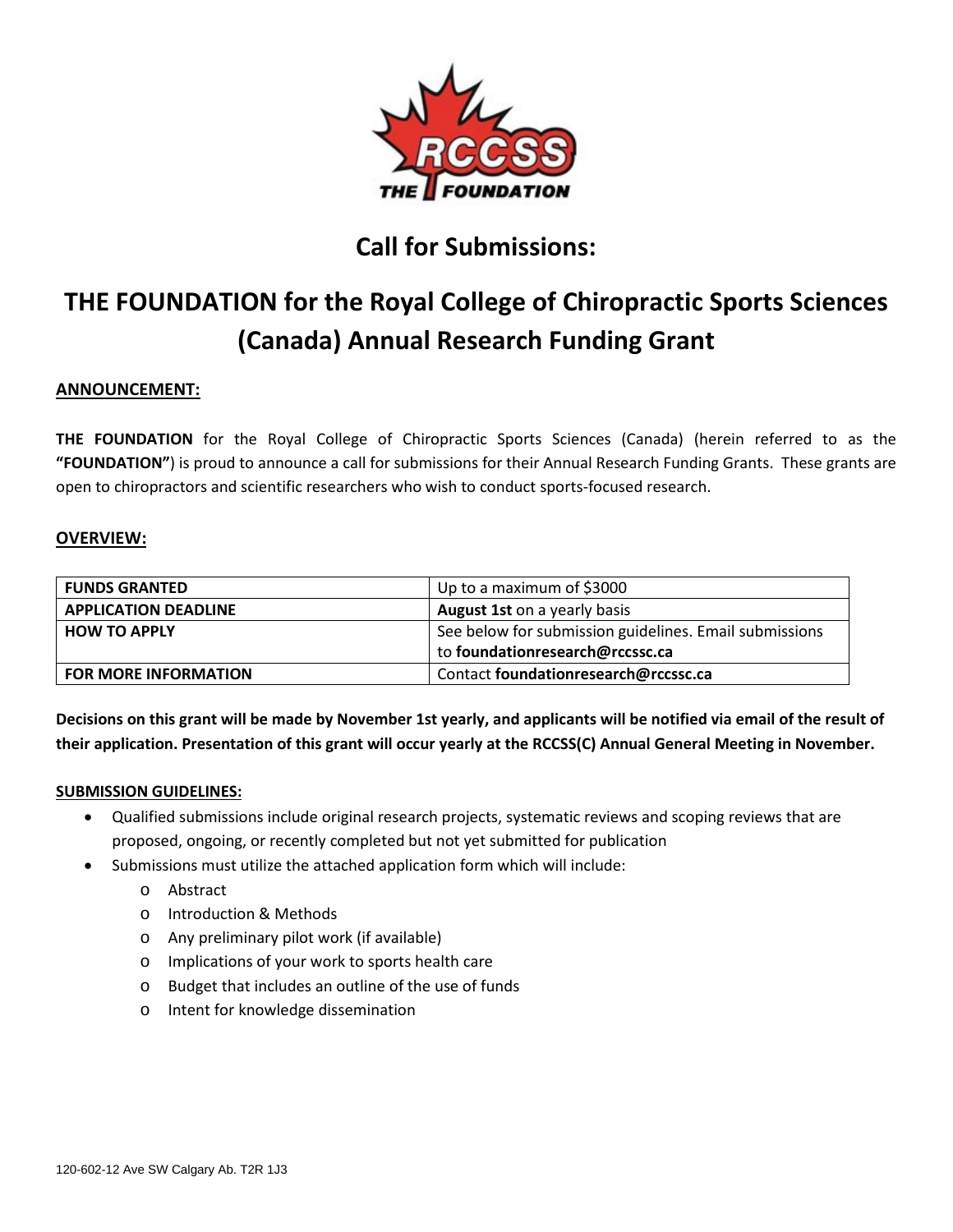

# **Call for Submissions:**

# **THE FOUNDATION for the Royal College of Chiropractic Sports Sciences (Canada) Annual Research Funding Grant**

# **ANNOUNCEMENT:**

**THE FOUNDATION** for the Royal College of Chiropractic Sports Sciences (Canada) (herein referred to as the **"FOUNDATION"**) is proud to announce a call for submissions for their Annual Research Funding Grants. These grants are open to chiropractors and scientific researchers who wish to conduct sports-focused research.

# **OVERVIEW:**

| <b>FUNDS GRANTED</b>        | Up to a maximum of \$3000                              |
|-----------------------------|--------------------------------------------------------|
| <b>APPLICATION DEADLINE</b> | <b>August 1st on a yearly basis</b>                    |
| <b>HOW TO APPLY</b>         | See below for submission guidelines. Email submissions |
|                             | to foundationresearch@rccssc.ca                        |
| <b>FOR MORE INFORMATION</b> | Contact foundationresearch@rccssc.ca                   |

**Decisions on this grant will be made by November 1st yearly, and applicants will be notified via email of the result of their application. Presentation of this grant will occur yearly at the RCCSS(C) Annual General Meeting in November.**

#### **SUBMISSION GUIDELINES:**

- Qualified submissions include original research projects, systematic reviews and scoping reviews that are proposed, ongoing, or recently completed but not yet submitted for publication
	- Submissions must utilize the attached application form which will include:
		- o Abstract
		- o Introduction & Methods
		- o Any preliminary pilot work (if available)
		- o Implications of your work to sports health care
		- o Budget that includes an outline of the use of funds
		- o Intent for knowledge dissemination